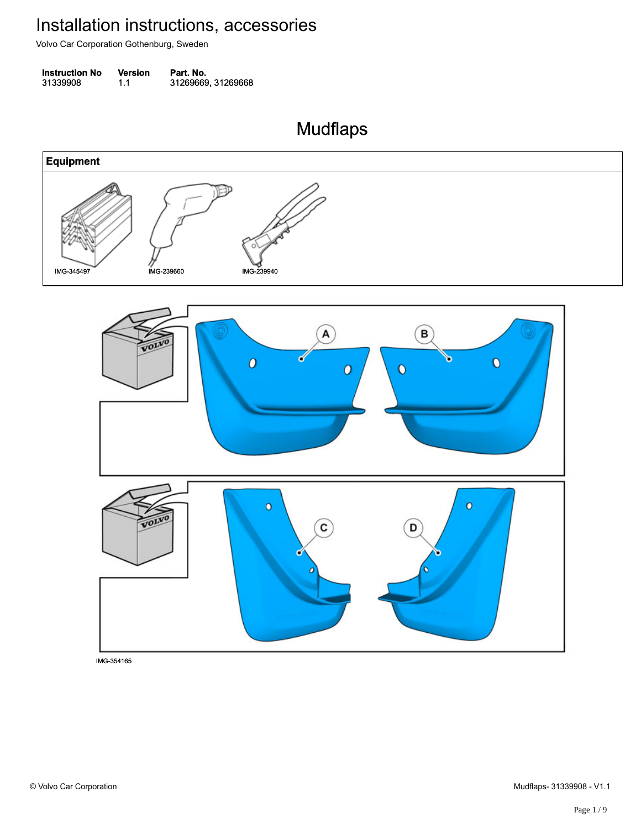Volvo Car Corporation Gothenburg, Sweden

| <b>Instruction No</b> | Version | Part. No.          |
|-----------------------|---------|--------------------|
| 31339908              | 1.1     | 31269669, 31269668 |

Mudflaps Mudflaps

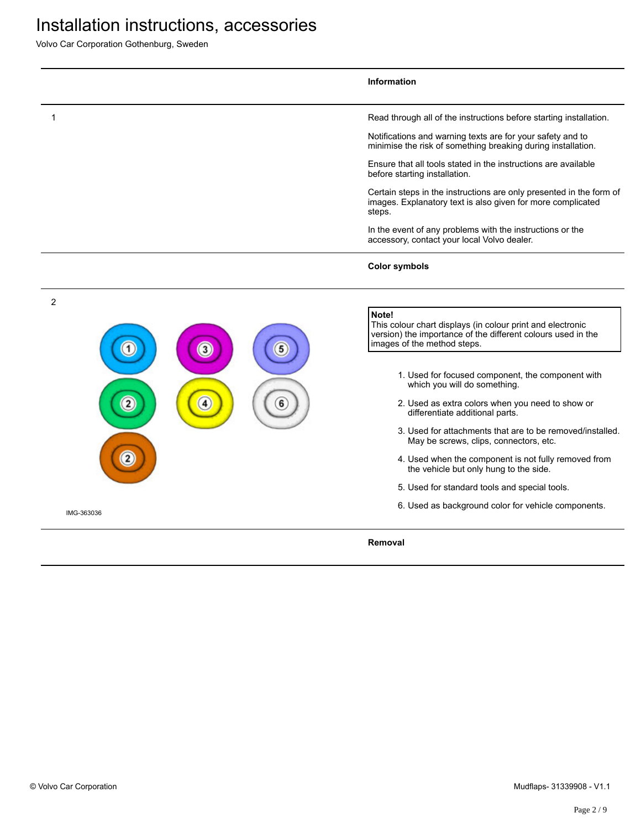Volvo Car Corporation Gothenburg, Sweden

|                                           |                   |        | Information                                                                                                                                                                                                                                                                                                                                                                                                                                                                                                                                                                                                                                                     |
|-------------------------------------------|-------------------|--------|-----------------------------------------------------------------------------------------------------------------------------------------------------------------------------------------------------------------------------------------------------------------------------------------------------------------------------------------------------------------------------------------------------------------------------------------------------------------------------------------------------------------------------------------------------------------------------------------------------------------------------------------------------------------|
|                                           |                   |        | Read through all of the instructions before starting installation.                                                                                                                                                                                                                                                                                                                                                                                                                                                                                                                                                                                              |
|                                           |                   |        | Notifications and warning texts are for your safety and to<br>minimise the risk of something breaking during installation.                                                                                                                                                                                                                                                                                                                                                                                                                                                                                                                                      |
|                                           |                   |        | Ensure that all tools stated in the instructions are available<br>before starting installation.                                                                                                                                                                                                                                                                                                                                                                                                                                                                                                                                                                 |
|                                           |                   |        | Certain steps in the instructions are only presented in the form of<br>images. Explanatory text is also given for more complicated<br>steps.                                                                                                                                                                                                                                                                                                                                                                                                                                                                                                                    |
|                                           |                   |        | In the event of any problems with the instructions or the<br>accessory, contact your local Volvo dealer.                                                                                                                                                                                                                                                                                                                                                                                                                                                                                                                                                        |
|                                           |                   |        | <b>Color symbols</b>                                                                                                                                                                                                                                                                                                                                                                                                                                                                                                                                                                                                                                            |
| $\overline{2}$<br>$\overline{\mathbf{2}}$ | $\mathbf{3}$<br>4 | 5<br>6 | Note!<br>This colour chart displays (in colour print and electronic<br>version) the importance of the different colours used in the<br>images of the method steps.<br>1. Used for focused component, the component with<br>which you will do something.<br>2. Used as extra colors when you need to show or<br>differentiate additional parts.<br>3. Used for attachments that are to be removed/installed.<br>May be screws, clips, connectors, etc.<br>4. Used when the component is not fully removed from<br>the vehicle but only hung to the side.<br>5. Used for standard tools and special tools.<br>6. Used as background color for vehicle components. |
| IMG-363036                                |                   |        |                                                                                                                                                                                                                                                                                                                                                                                                                                                                                                                                                                                                                                                                 |
|                                           |                   |        | Removal                                                                                                                                                                                                                                                                                                                                                                                                                                                                                                                                                                                                                                                         |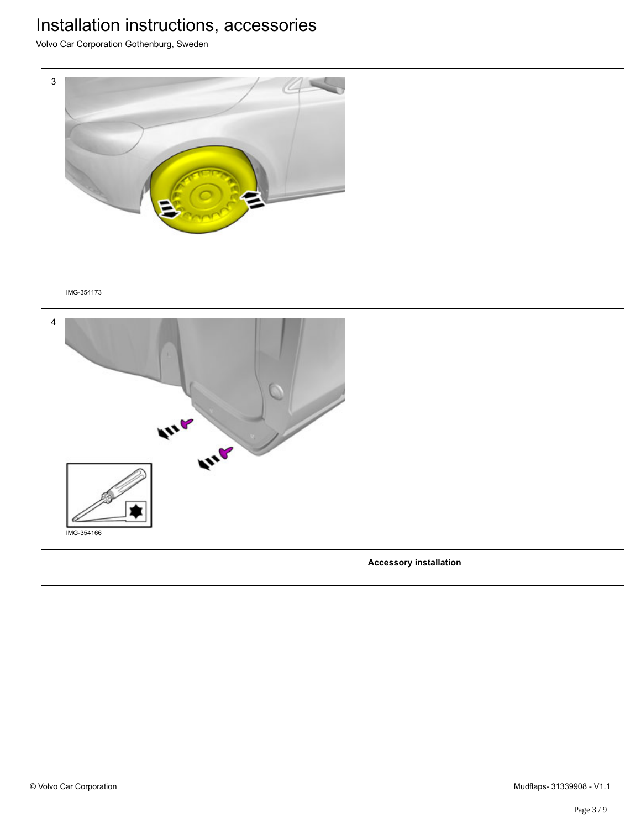Volvo Car Corporation Gothenburg, Sweden



#### IMG-354173



**Accessory installation**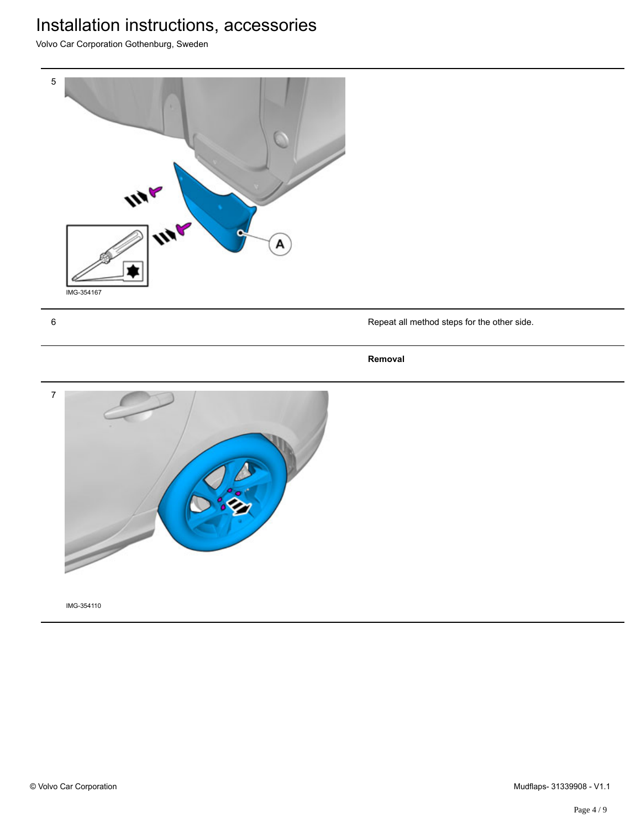Volvo Car Corporation Gothenburg, Sweden



6 Repeat all method steps for the other side.

#### **Removal**

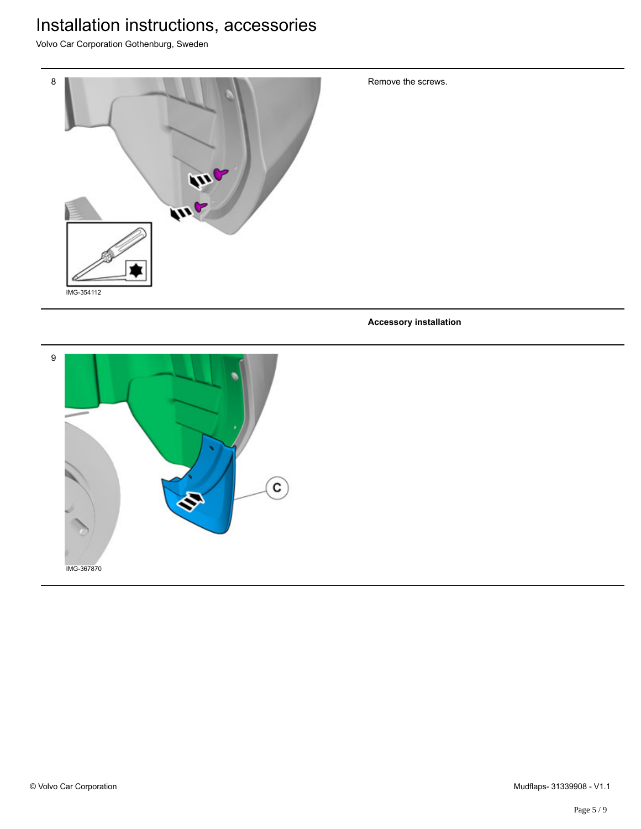Volvo Car Corporation Gothenburg, Sweden



Remove the screws.

**Accessory installation**

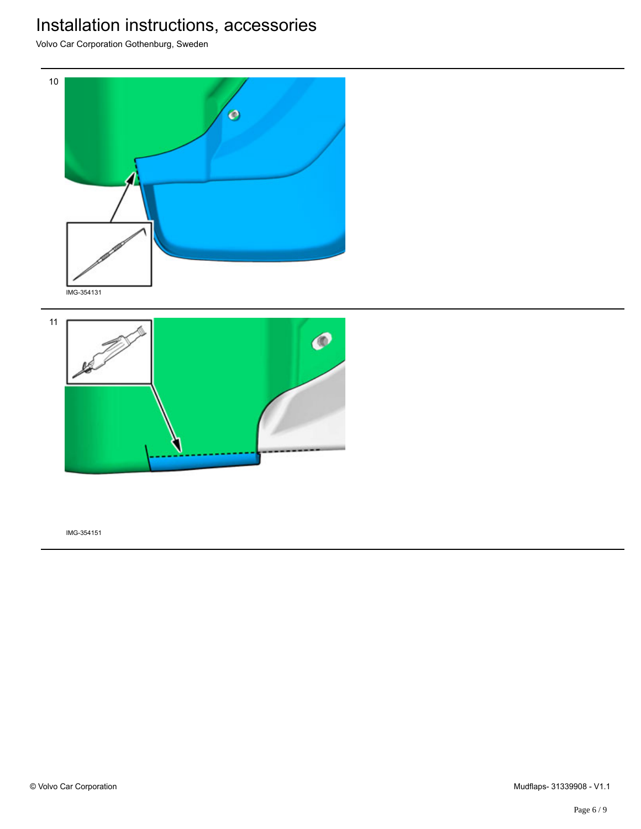Volvo Car Corporation Gothenburg, Sweden



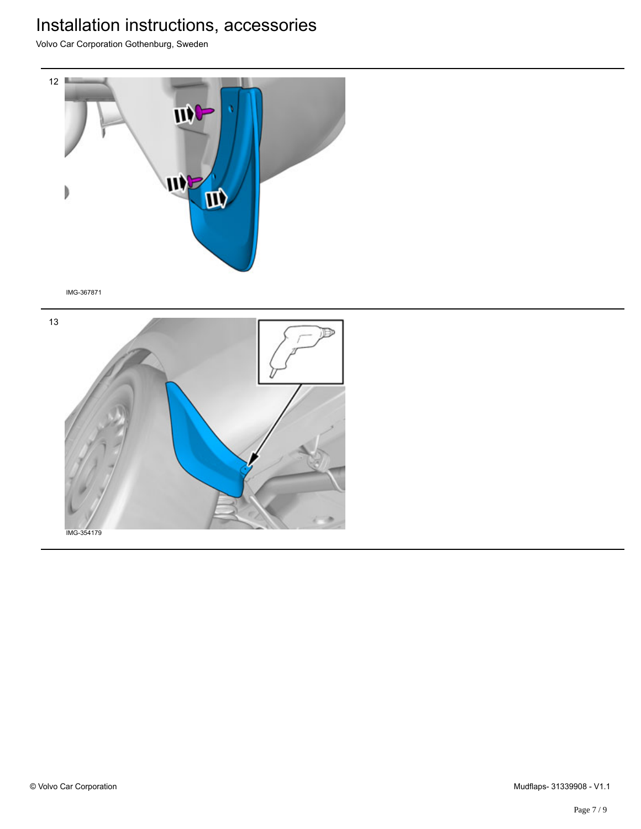Volvo Car Corporation Gothenburg, Sweden



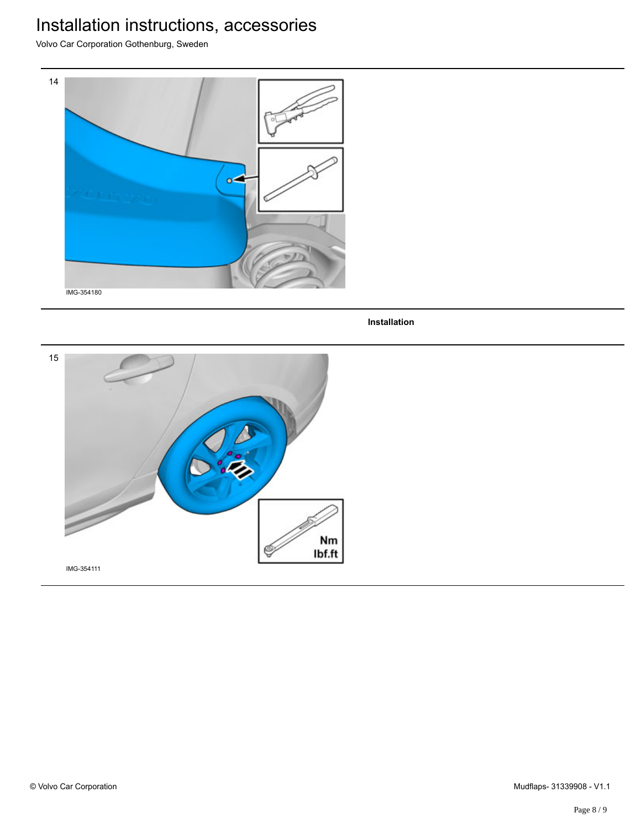Volvo Car Corporation Gothenburg, Sweden



**Installation**